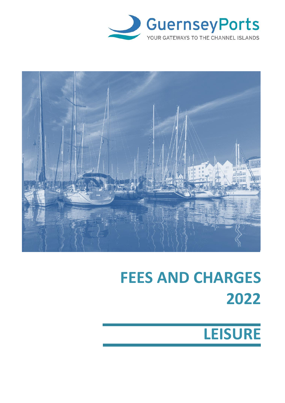



# **FEES AND CHARGES 2022**

# **LEISURE**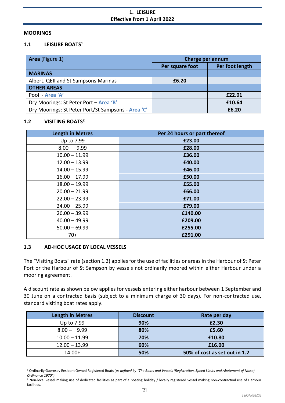#### **MOORINGS**

# **1.1 LEISURE BOATS<sup>1</sup>**

| Area (Figure 1)                                    | Charge per annum |                 |
|----------------------------------------------------|------------------|-----------------|
|                                                    | Per square foot  | Per foot length |
| <b>MARINAS</b>                                     |                  |                 |
| Albert, QEII and St Sampsons Marinas               | £6.20            |                 |
| <b>OTHER AREAS</b>                                 |                  |                 |
| Pool - Area 'A'                                    |                  | £22.01          |
| Dry Moorings: St Peter Port - Area 'B'             |                  | £10.64          |
| Dry Moorings: St Peter Port/St Sampsons - Area 'C' |                  | £6.20           |

#### **1.2 VISITING BOATS<sup>2</sup>**

| <b>Length in Metres</b> | Per 24 hours or part thereof |
|-------------------------|------------------------------|
| Up to 7.99              | £23.00                       |
| $8.00 - 9.99$           | £28.00                       |
| $10.00 - 11.99$         | £36.00                       |
| $12.00 - 13.99$         | £40.00                       |
| $14.00 - 15.99$         | £46.00                       |
| $16.00 - 17.99$         | £50.00                       |
| $18.00 - 19.99$         | £55.00                       |
| $20.00 - 21.99$         | £66.00                       |
| $22.00 - 23.99$         | £71.00                       |
| $24.00 - 25.99$         | £79.00                       |
| $26.00 - 39.99$         | £140.00                      |
| $40.00 - 49.99$         | £209.00                      |
| $50.00 - 69.99$         | £255.00                      |
| $70+$                   | £291.00                      |

## **1.3 AD-HOC USAGE BY LOCAL VESSELS**

The "Visiting Boats" rate (section 1.2) applies for the use of facilities or areas in the Harbour of St Peter Port or the Harbour of St Sampson by vessels not ordinarily moored within either Harbour under a mooring agreement.

A discount rate as shown below applies for vessels entering either harbour between 1 September and 30 June on a contracted basis (subject to a minimum charge of 30 days). For non-contracted use, standard visiting boat rates apply.

| <b>Length in Metres</b> | <b>Discount</b> | Rate per day                  |
|-------------------------|-----------------|-------------------------------|
| Up to 7.99              | 90%             | £2.30                         |
| $8.00 - 9.99$           | 80%             | £5.60                         |
| $10.00 - 11.99$         | 70%             | £10.80                        |
| $12.00 - 13.99$         | 60%             | £16.00                        |
| $14.00+$                | 50%             | 50% of cost as set out in 1.2 |

<sup>1</sup> Ordinarily Guernsey Resident Owned Registered Boats (*as defined by "The Boats and Vessels (Registration, Speed Limits and Abatement of Noise) Ordinance 1970")*

 $<sup>2</sup>$  Non-local vessel making use of dedicated facilities as part of a boating holiday / locally registered vessel making non-contractual use of Harbour</sup> facilities.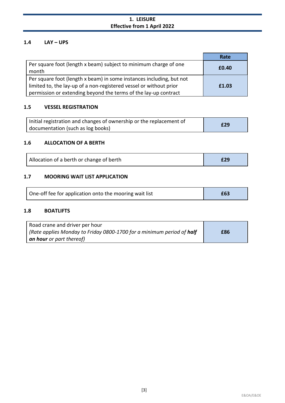# **1. LEISURE Effective from 1 April 2022**

# **1.4 LAY – UPS**

|                                                                                                                                                                                                               | Rate  |
|---------------------------------------------------------------------------------------------------------------------------------------------------------------------------------------------------------------|-------|
| Per square foot (length x beam) subject to minimum charge of one<br>month                                                                                                                                     | £0.40 |
| Per square foot (length x beam) in some instances including, but not<br>limited to, the lay-up of a non-registered vessel or without prior<br>permission or extending beyond the terms of the lay-up contract | £1.03 |

#### **1.5 VESSEL REGISTRATION**

| Initial registration and changes of ownership or the replacement of | £29 |
|---------------------------------------------------------------------|-----|
| documentation (such as log books)                                   |     |

#### **1.6 ALLOCATION OF A BERTH**

| Allocation of a berth or change of berth |  |
|------------------------------------------|--|
|------------------------------------------|--|

## **1.7 MOORING WAIT LIST APPLICATION**

| One-off fee for application onto the mooring wait list | £63 |
|--------------------------------------------------------|-----|
|--------------------------------------------------------|-----|

#### **1.8 BOATLIFTS**

| Road crane and driver per hour                                              |     |
|-----------------------------------------------------------------------------|-----|
| Rate applies Monday to Friday 0800-1700 for a minimum period of <b>half</b> | £86 |
| an hour or part thereof)                                                    |     |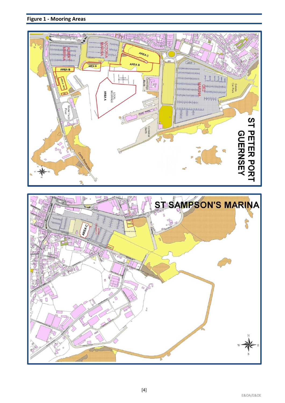



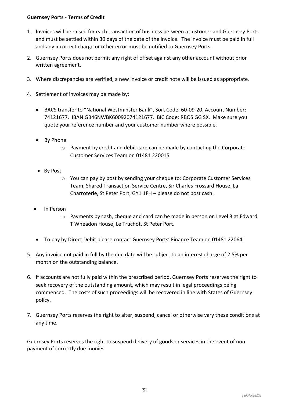- 1. Invoices will be raised for each transaction of business between a customer and Guernsey Ports and must be settled within 30 days of the date of the invoice. The invoice must be paid in full and any incorrect charge or other error must be notified to Guernsey Ports.
- 2. Guernsey Ports does not permit any right of offset against any other account without prior written agreement.
- 3. Where discrepancies are verified, a new invoice or credit note will be issued as appropriate.
- 4. Settlement of invoices may be made by:
	- BACS transfer to "National Westminster Bank", Sort Code: 60-09-20, Account Number: 74121677. IBAN GB46NWBK60092074121677. BIC Code: RBOS GG SX. Make sure you quote your reference number and your customer number where possible.
	- By Phone
		- o Payment by credit and debit card can be made by contacting the Corporate Customer Services Team on 01481 220015
	- By Post
		- o You can pay by post by sending your cheque to: Corporate Customer Services Team, Shared Transaction Service Centre, Sir Charles Frossard House, La Charroterie, St Peter Port, GY1 1FH – please do not post cash.
	- In Person
		- o Payments by cash, cheque and card can be made in person on Level 3 at Edward T Wheadon House, Le Truchot, St Peter Port.
	- To pay by Direct Debit please contact Guernsey Ports' Finance Team on 01481 220641
- 5. Any invoice not paid in full by the due date will be subject to an interest charge of 2.5% per month on the outstanding balance.
- 6. If accounts are not fully paid within the prescribed period, Guernsey Ports reserves the right to seek recovery of the outstanding amount, which may result in legal proceedings being commenced. The costs of such proceedings will be recovered in line with States of Guernsey policy.
- 7. Guernsey Ports reserves the right to alter, suspend, cancel or otherwise vary these conditions at any time.

Guernsey Ports reserves the right to suspend delivery of goods or services in the event of nonpayment of correctly due monies